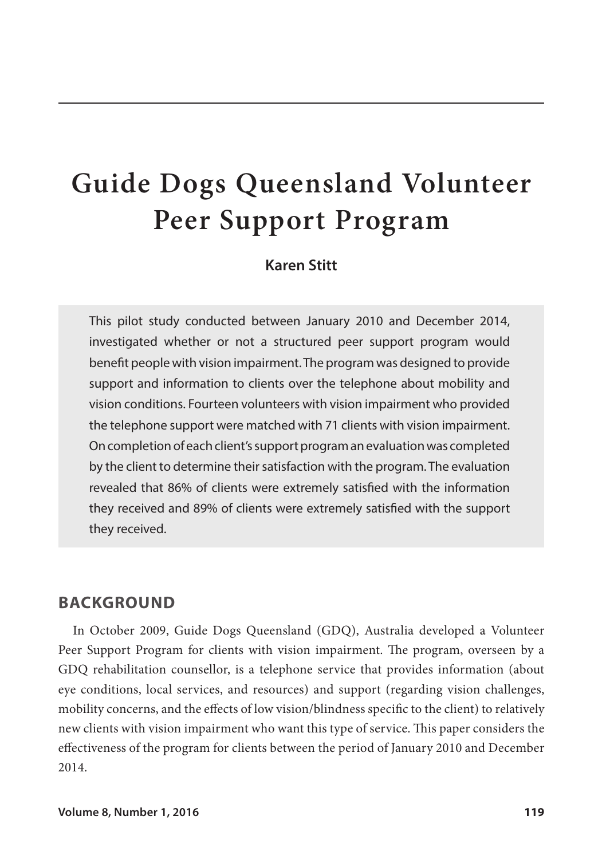# **Guide Dogs Queensland Volunteer Peer Support Program**

## **Karen Stitt**

This pilot study conducted between January 2010 and December 2014, investigated whether or not a structured peer support program would benefit people with vision impairment. The program was designed to provide support and information to clients over the telephone about mobility and vision conditions. Fourteen volunteers with vision impairment who provided the telephone support were matched with 71 clients with vision impairment. On completion of each client's support program an evaluation was completed by the client to determine their satisfaction with the program. The evaluation revealed that 86% of clients were extremely satisfied with the information they received and 89% of clients were extremely satisfied with the support they received.

## **BACKGROUND**

In October 2009, Guide Dogs Queensland (GDQ), Australia developed a Volunteer Peer Support Program for clients with vision impairment. The program, overseen by a GDQ rehabilitation counsellor, is a telephone service that provides information (about eye conditions, local services, and resources) and support (regarding vision challenges, mobility concerns, and the effects of low vision/blindness specific to the client) to relatively new clients with vision impairment who want this type of service. This paper considers the effectiveness of the program for clients between the period of January 2010 and December 2014.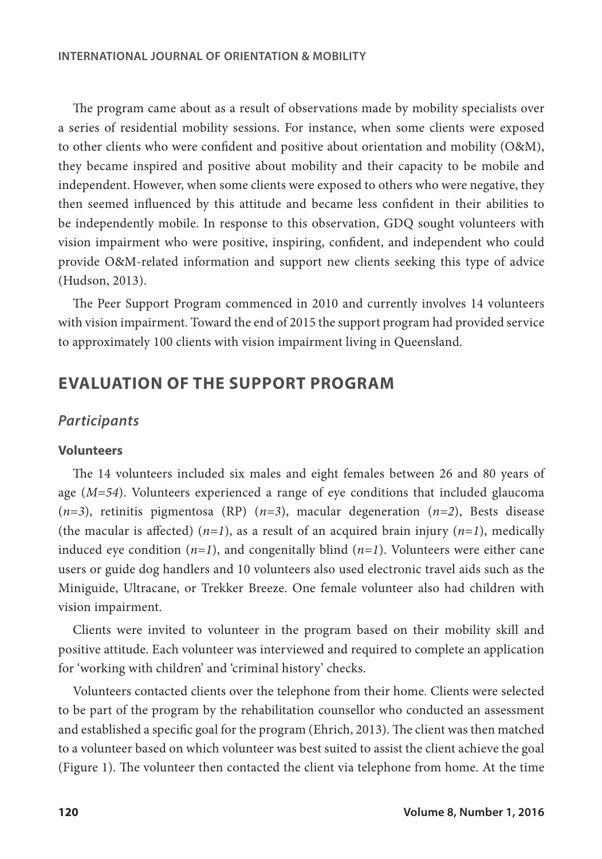The program came about as a result of observations made by mobility specialists over a series of residential mobility sessions. For instance, when some clients were exposed to other clients who were confident and positive about orientation and mobility (O&M), they became inspired and positive about mobility and their capacity to be mobile and independent. However, when some clients were exposed to others who were negative, they then seemed influenced by this attitude and became less confident in their abilities to be independently mobile. In response to this observation, GDQ sought volunteers with vision impairment who were positive, inspiring, confident, and independent who could provide O&M-related information and support new clients seeking this type of advice (Hudson, 2013).

The Peer Support Program commenced in 2010 and currently involves 14 volunteers with vision impairment. Toward the end of 2015 the support program had provided service to approximately 100 clients with vision impairment living in Queensland.

## **EVALUATION OF THE SUPPORT PROGRAM**

#### *Participants*

#### **Volunteers**

The 14 volunteers included six males and eight females between 26 and 80 years of age (*M=54*). Volunteers experienced a range of eye conditions that included glaucoma (*n=3*), retinitis pigmentosa (RP) (*n=3*), macular degeneration (*n=2*), Bests disease (the macular is affected)  $(n=1)$ , as a result of an acquired brain injury  $(n=1)$ , medically induced eye condition  $(n=1)$ , and congenitally blind  $(n=1)$ . Volunteers were either cane users or guide dog handlers and 10 volunteers also used electronic travel aids such as the Miniguide, Ultracane, or Trekker Breeze. One female volunteer also had children with vision impairment.

Clients were invited to volunteer in the program based on their mobility skill and positive attitude. Each volunteer was interviewed and required to complete an application for 'working with children' and 'criminal history' checks.

Volunteers contacted clients over the telephone from their home. Clients were selected to be part of the program by the rehabilitation counsellor who conducted an assessment and established a specific goal for the program (Ehrich, 2013). The client was then matched to a volunteer based on which volunteer was best suited to assist the client achieve the goal (Figure 1). The volunteer then contacted the client via telephone from home. At the time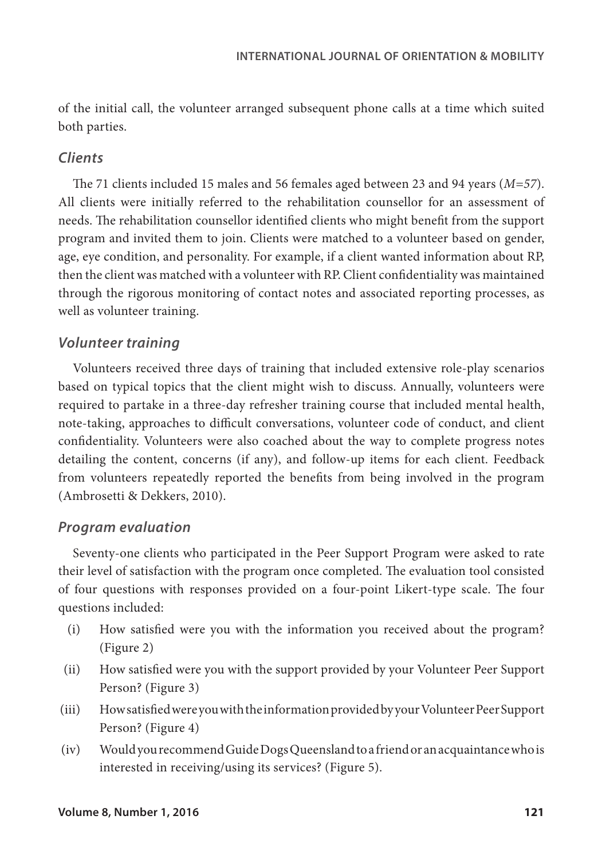of the initial call, the volunteer arranged subsequent phone calls at a time which suited both parties.

#### *Clients*

The 71 clients included 15 males and 56 females aged between 23 and 94 years (*M=57*). All clients were initially referred to the rehabilitation counsellor for an assessment of needs. The rehabilitation counsellor identified clients who might benefit from the support program and invited them to join. Clients were matched to a volunteer based on gender, age, eye condition, and personality. For example, if a client wanted information about RP, then the client was matched with a volunteer with RP. Client confidentiality was maintained through the rigorous monitoring of contact notes and associated reporting processes, as well as volunteer training.

## *Volunteer training*

Volunteers received three days of training that included extensive role-play scenarios based on typical topics that the client might wish to discuss. Annually, volunteers were required to partake in a three-day refresher training course that included mental health, note-taking, approaches to difficult conversations, volunteer code of conduct, and client confidentiality. Volunteers were also coached about the way to complete progress notes detailing the content, concerns (if any), and follow-up items for each client. Feedback from volunteers repeatedly reported the benefits from being involved in the program (Ambrosetti & Dekkers, 2010).

#### *Program evaluation*

Seventy-one clients who participated in the Peer Support Program were asked to rate their level of satisfaction with the program once completed. The evaluation tool consisted of four questions with responses provided on a four-point Likert-type scale. The four questions included:

- (i) How satisfied were you with the information you received about the program? (Figure 2)
- (ii) How satisfied were you with the support provided by your Volunteer Peer Support Person? (Figure 3)
- (iii) How satisfied were you with the information provided by your Volunteer Peer Support Person? (Figure 4)
- (iv) Would you recommend Guide Dogs Queensland to a friend or an acquaintance who is interested in receiving/using its services? (Figure 5).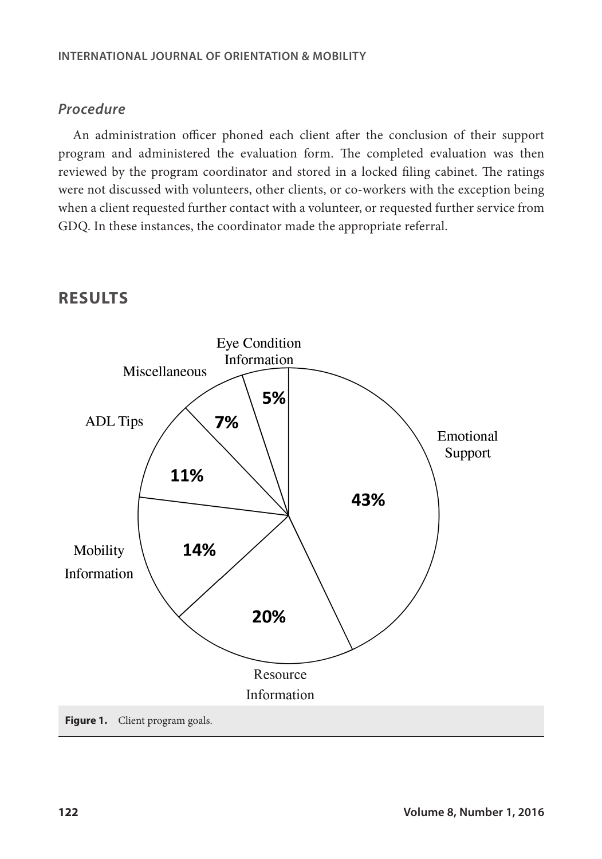## *Procedure*

An administration officer phoned each client after the conclusion of their support program and administered the evaluation form. The completed evaluation was then reviewed by the program coordinator and stored in a locked filing cabinet. The ratings were not discussed with volunteers, other clients, or co-workers with the exception being when a client requested further contact with a volunteer, or requested further service from GDQ. In these instances, the coordinator made the appropriate referral.



# **RESULTS**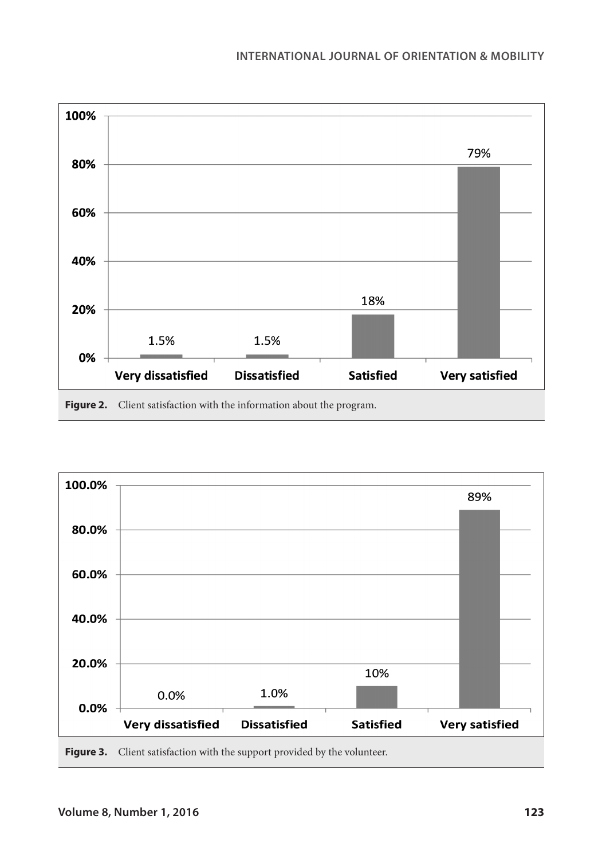

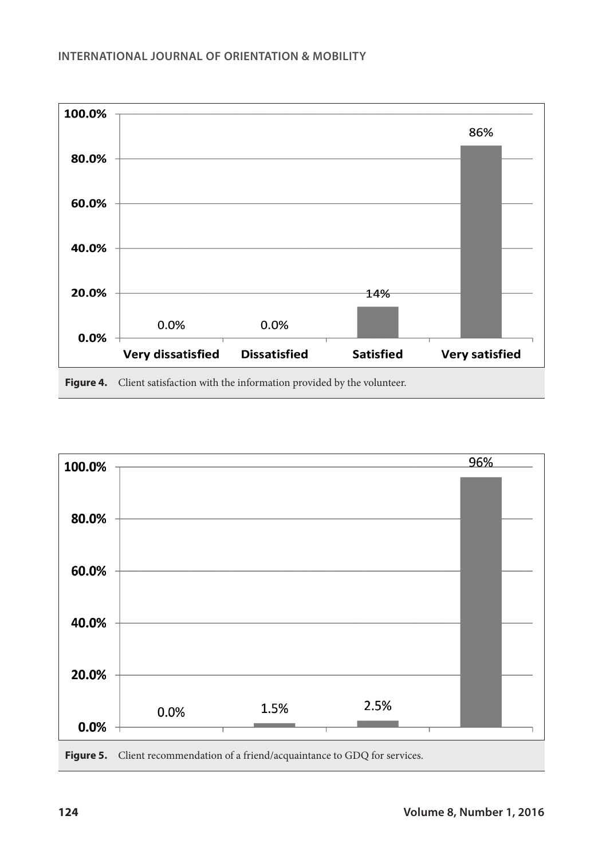#### **INTERNATIONAL JOURNAL OF ORIENTATION & MOBILITY**



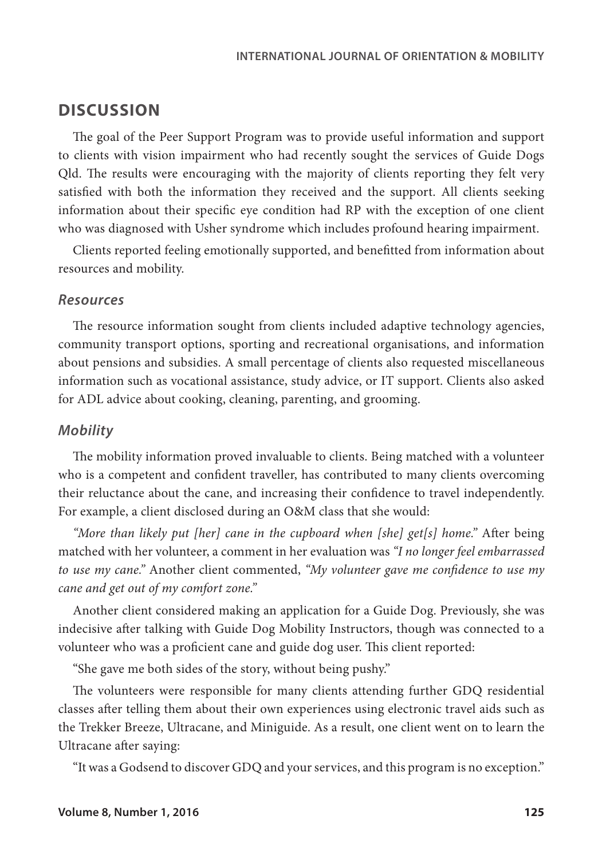## **DISCUSSION**

The goal of the Peer Support Program was to provide useful information and support to clients with vision impairment who had recently sought the services of Guide Dogs Qld. The results were encouraging with the majority of clients reporting they felt very satisfied with both the information they received and the support. All clients seeking information about their specific eye condition had RP with the exception of one client who was diagnosed with Usher syndrome which includes profound hearing impairment.

Clients reported feeling emotionally supported, and benefitted from information about resources and mobility.

#### *Resources*

The resource information sought from clients included adaptive technology agencies, community transport options, sporting and recreational organisations, and information about pensions and subsidies. A small percentage of clients also requested miscellaneous information such as vocational assistance, study advice, or IT support. Clients also asked for ADL advice about cooking, cleaning, parenting, and grooming.

#### *Mobility*

The mobility information proved invaluable to clients. Being matched with a volunteer who is a competent and confident traveller, has contributed to many clients overcoming their reluctance about the cane, and increasing their confidence to travel independently. For example, a client disclosed during an O&M class that she would:

*"More than likely put [her] cane in the cupboard when [she] get[s] home."* After being matched with her volunteer, a comment in her evaluation was *"I no longer feel embarrassed to use my cane."* Another client commented, *"My volunteer gave me confidence to use my cane and get out of my comfort zone."*

Another client considered making an application for a Guide Dog. Previously, she was indecisive after talking with Guide Dog Mobility Instructors, though was connected to a volunteer who was a proficient cane and guide dog user. This client reported:

"She gave me both sides of the story, without being pushy."

The volunteers were responsible for many clients attending further GDQ residential classes after telling them about their own experiences using electronic travel aids such as the Trekker Breeze, Ultracane, and Miniguide. As a result, one client went on to learn the Ultracane after saying:

"It was a Godsend to discover GDQ and your services, and this program is no exception."